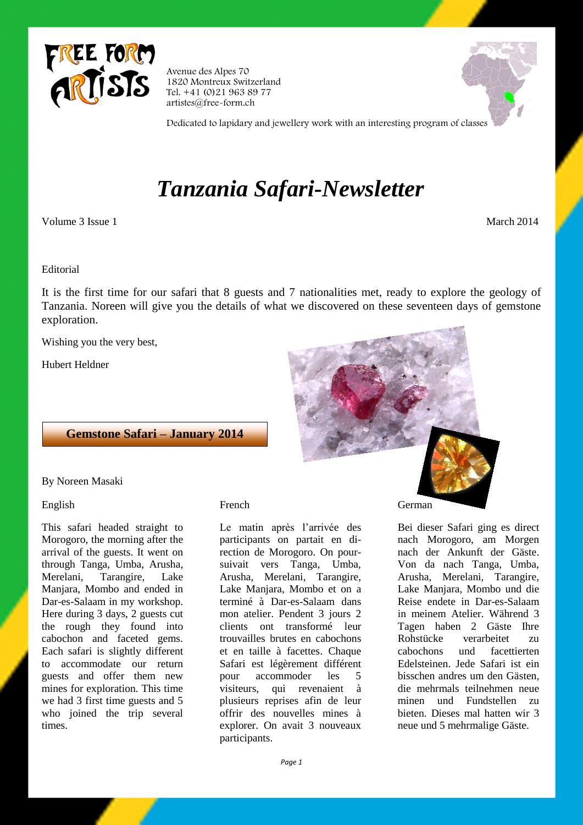

Avenue des Alpes 70 1820 Montreux Switzerland Tel. +41 (0)21 963 89 77 artistes@free-form.ch



Dedicated to lapidary and jewellery work with an interesting program of classes

# *Tanzania Safari-Newsletter*

Volume 3 Issue 1 March 2014

Editorial

It is the first time for our safari that 8 guests and 7 nationalities met, ready to explore the geology of Tanzania. Noreen will give you the details of what we discovered on these seventeen days of gemstone exploration.

Wishing you the very best,

Hubert Heldner



**Gemstone Safari – January 2014**

By Noreen Masaki

## English

This safari headed straight to Morogoro, the morning after the arrival of the guests. It went on through Tanga, Umba, Arusha, Merelani, Tarangire, Lake Manjara, Mombo and ended in Dar-es-Salaam in my workshop. Here during 3 days, 2 guests cut the rough they found into cabochon and faceted gems. Each safari is slightly different to accommodate our return guests and offer them new mines for exploration. This time we had 3 first time guests and 5 who joined the trip several times.

# French

Le matin après l'arrivée des participants on partait en direction de Morogoro. On poursuivait vers Tanga, Umba, Arusha, Merelani, Tarangire, Lake Manjara, Mombo et on a terminé à Dar-es-Salaam dans mon atelier. Pendent 3 jours 2 clients ont transformé leur trouvailles brutes en cabochons et en taille à facettes. Chaque Safari est légèrement différent pour accommoder les 5 visiteurs, qui revenaient à plusieurs reprises afin de leur offrir des nouvelles mines à explorer. On avait 3 nouveaux participants.

German

Bei dieser Safari ging es direct nach Morogoro, am Morgen nach der Ankunft der Gäste. Von da nach Tanga, Umba, Arusha, Merelani, Tarangire, Lake Manjara, Mombo und die Reise endete in Dar-es-Salaam in meinem Atelier. Während 3 Tagen haben 2 Gäste Ihre Rohstücke verarbeitet zu cabochons und facettierten Edelsteinen. Jede Safari ist ein bisschen andres um den Gästen, die mehrmals teilnehmen neue minen und Fundstellen zu bieten. Dieses mal hatten wir 3 neue und 5 mehrmalige Gäste.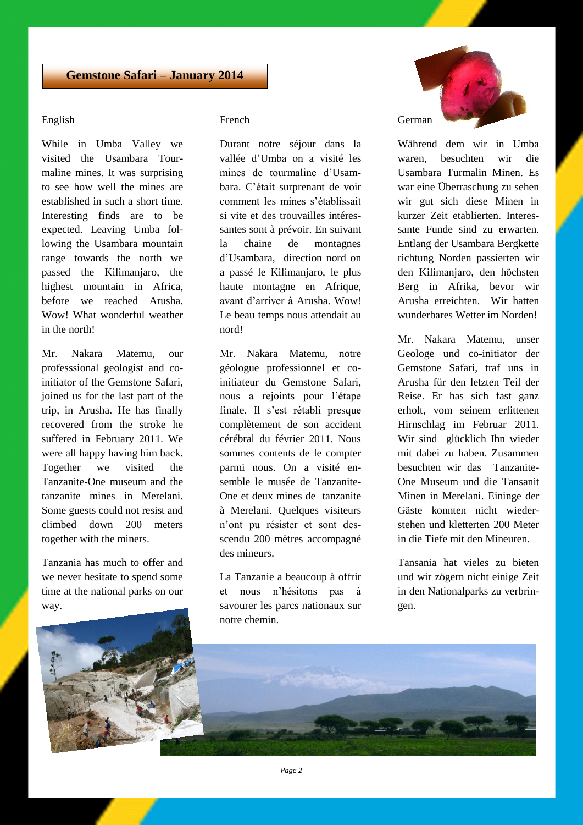# **Gemstone Safari – January 2014**

## English

While in Umba Valley we visited the Usambara Tourmaline mines. It was surprising to see how well the mines are established in such a short time. Interesting finds are to be expected. Leaving Umba following the Usambara mountain range towards the north we passed the Kilimanjaro, the highest mountain in Africa, before we reached Arusha. Wow! What wonderful weather in the north!

Mr. Nakara Matemu, our professsional geologist and coinitiator of the Gemstone Safari, joined us for the last part of the trip, in Arusha. He has finally recovered from the stroke he suffered in February 2011. We were all happy having him back. Together we visited the Tanzanite-One museum and the tanzanite mines in Merelani. Some guests could not resist and climbed down 200 meters together with the miners.

Tanzania has much to offer and we never hesitate to spend some time at the national parks on our way.

## French

Durant notre séjour dans la vallée d'Umba on a visité les mines de tourmaline d'Usambara. C'était surprenant de voir comment les mines s'établissait si vite et des trouvailles intéressantes sont à prévoir. En suivant la chaine de montagnes d'Usambara, direction nord on a passé le Kilimanjaro, le plus haute montagne en Afrique, avant d'arriver à Arusha. Wow! Le beau temps nous attendait au nord!

Mr. Nakara Matemu, notre géologue professionnel et coinitiateur du Gemstone Safari, nous a rejoints pour l'étape finale. Il s'est rétabli presque complètement de son accident cérébral du février 2011. Nous sommes contents de le compter parmi nous. On a visité ensemble le musée de Tanzanite-One et deux mines de tanzanite à Merelani. Quelques visiteurs n'ont pu résister et sont desscendu 200 mètres accompagné des mineurs.

La Tanzanie a beaucoup à offrir et nous n'hésitons pas à savourer les parcs nationaux sur notre chemin.



Während dem wir in Umba waren, besuchten wir die Usambara Turmalin Minen. Es war eine Überraschung zu sehen wir gut sich diese Minen in kurzer Zeit etablierten. Interessante Funde sind zu erwarten. Entlang der Usambara Bergkette richtung Norden passierten wir den Kilimanjaro, den höchsten Berg in Afrika, bevor wir Arusha erreichten. Wir hatten wunderbares Wetter im Norden!

Mr. Nakara Matemu, unser Geologe und co-initiator der Gemstone Safari, traf uns in Arusha für den letzten Teil der Reise. Er has sich fast ganz erholt, vom seinem erlittenen Hirnschlag im Februar 2011. Wir sind glücklich Ihn wieder mit dabei zu haben. Zusammen besuchten wir das Tanzanite-One Museum und die Tansanit Minen in Merelani. Eininge der Gäste konnten nicht wiederstehen und kletterten 200 Meter in die Tiefe mit den Mineuren.

Tansania hat vieles zu bieten und wir zögern nicht einige Zeit in den Nationalparks zu verbringen.